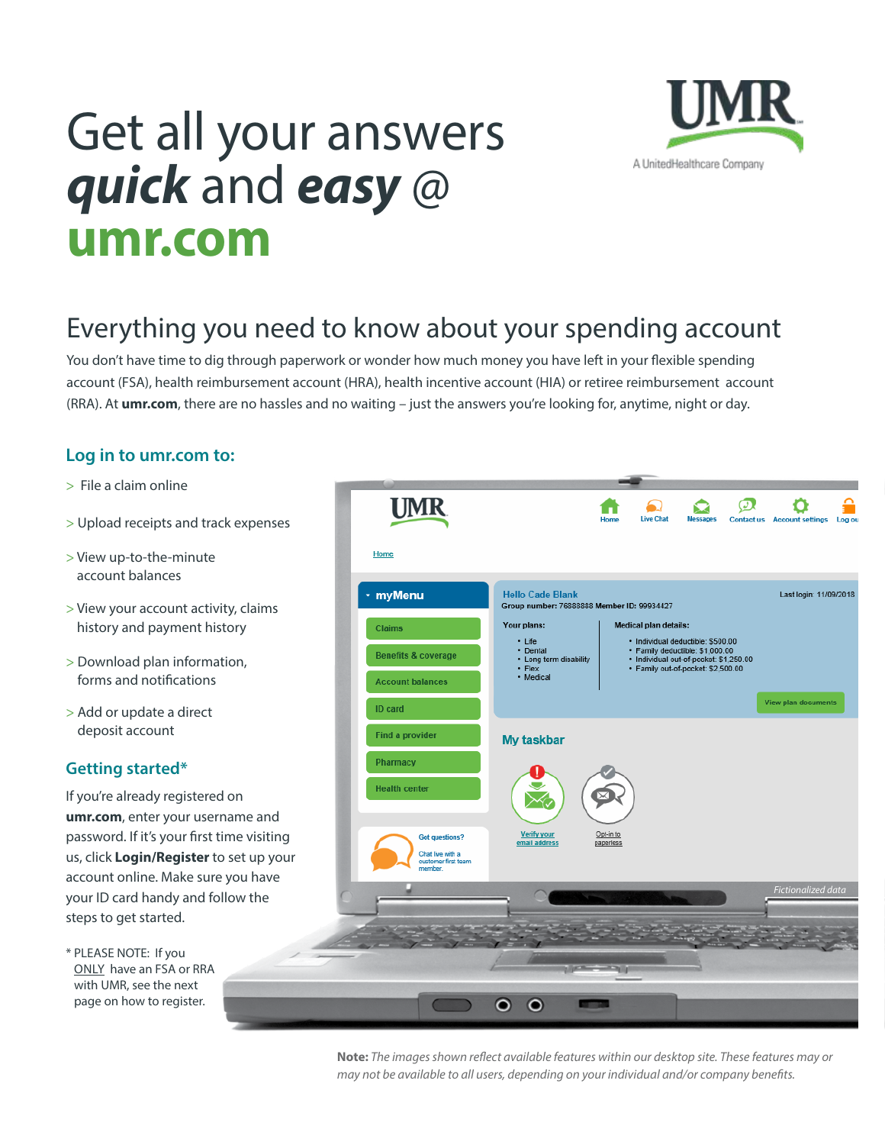# Get all your answers *quick* and *easy* @ **[umr.com](www.umr.com)**



# Everything you need to know about your spending account

You don't have time to dig through paperwork or wonder how much money you have left in your fexible spending account (FSA), health reimbursement account (HRA), health incentive account (HIA) or retiree reimbursement account (RRA). At **[umr.com](www.umr.com)**, there are no hassles and no waiting – just the answers you're looking for, anytime, night or day.

# **Log in to [umr.com](www.umr.com) to:**

- > File a claim online
- > Upload receipts and track expenses
- > View up-to-the-minute account balances
- > View your account activity, claims history and payment history
- > Download plan information, forms and notifcations
- > Add or update a direct deposit account

# **Getting started\***

If you're already registered on **[umr.com](www.umr.com)**, enter your username and password. If it's your frst time visiting us, click **Login/Register** to set up your account online. Make sure you have your ID card handy and follow the steps to get started.

\* PLEASE NOTE: If you ONLY have an FSA or RRA with UMR, see the next page on how to register.



**Note:** *The images shown refect available features within our desktop site. These features may or may not be available to all users, depending on your individual and/or company benefts.*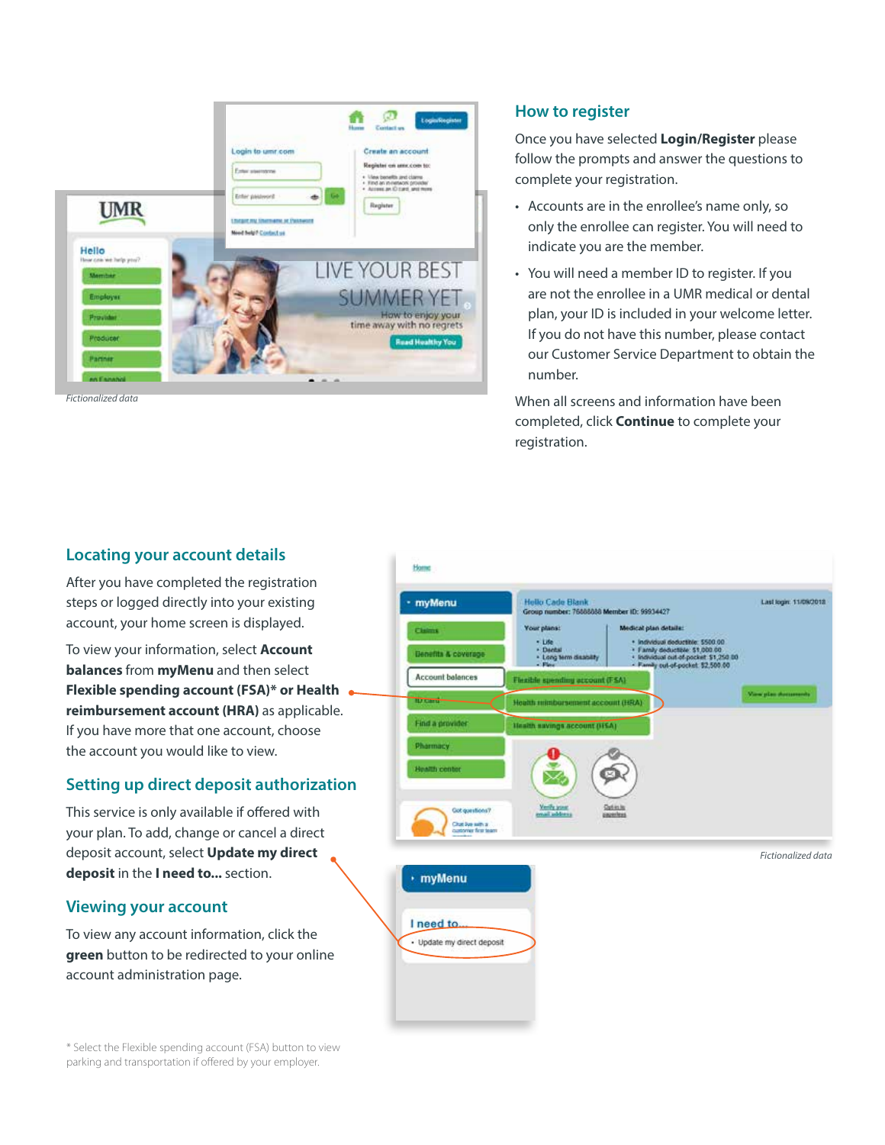

*Fictionalized data* 

#### **How to register**

Once you have selected **Login/Register** please follow the prompts and answer the questions to complete your registration.

- Accounts are in the enrollee's name only, so only the enrollee can register. You will need to indicate you are the member.
- • You will need a member ID to register. If you are not the enrollee in a UMR medical or dental plan, your ID is included in your welcome letter. If you do not have this number, please contact our Customer Service Department to obtain the number.

When all screens and information have been completed, click **Continue** to complete your registration.



\* Select the Flexible spending account (FSA) button to view parking and transportation if ofered by your employer.

#### **Locating your account details**

After you have completed the registration steps or logged directly into your existing account, your home screen is displayed.

To view your information, select **Account balances** from **myMenu** and then select **Flexible spending account (FSA)\* or Health reimbursement account (HRA)** as applicable. If you have more that one account, choose the account you would like to view.

### **Setting up direct deposit authorization**

This service is only available if offered with your plan. To add, change or cancel a direct deposit account, select **Update my direct deposit** in the **I need to...** section.

### **Viewing your account**

To view any account information, click the **green** button to be redirected to your online account administration page.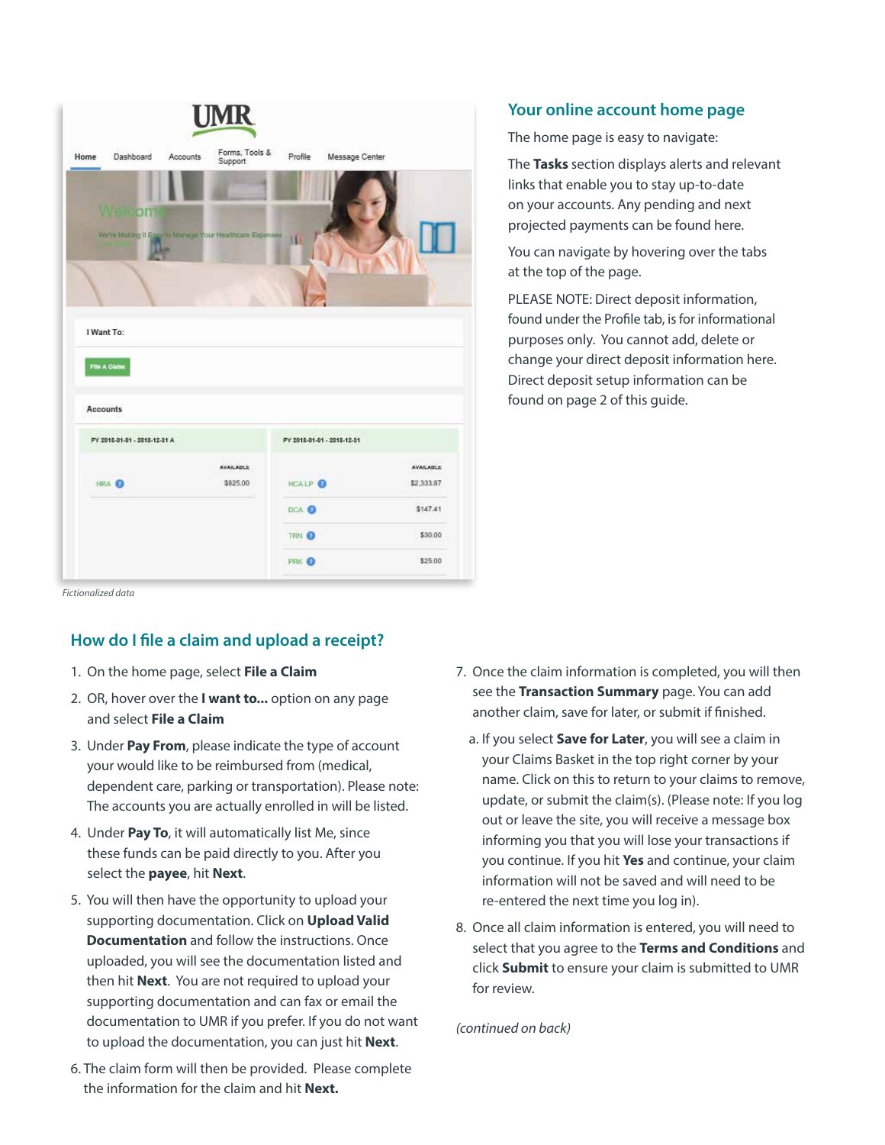|      |                                 |                 | <b>UMR</b>                                              |         |                            |                  |
|------|---------------------------------|-----------------|---------------------------------------------------------|---------|----------------------------|------------------|
| Home | Dashboard                       | <b>Accounts</b> | Forms, Tools &<br>Support                               | Profile | Message Center             |                  |
|      |                                 |                 |                                                         |         |                            |                  |
|      | Welcom                          |                 |                                                         |         |                            |                  |
|      |                                 | <b>Line</b>     | We're Making it Easy to Manage Your Healthcare Expenses | HB      |                            |                  |
|      |                                 |                 |                                                         |         |                            |                  |
|      |                                 |                 |                                                         |         |                            |                  |
|      | I Want To:                      |                 |                                                         |         |                            |                  |
|      | File A Claim<br><b>Accounts</b> |                 |                                                         |         |                            |                  |
|      | PY 2018-01-01 - 2018-12-31 A    |                 |                                                         |         | PY 2018-01-01 - 2018-12-31 |                  |
|      |                                 |                 | <b>AVAILABLE</b>                                        |         |                            | <b>AVAILABLE</b> |
|      | HRA O                           |                 | \$825.00                                                | HCALP O |                            | \$2,333.87       |
|      |                                 |                 |                                                         | DCA O   |                            | \$147.41         |
|      |                                 |                 |                                                         | TRN O   |                            | \$30.00          |

*Fictionalized data* 

# **How do I fle a claim and upload a receipt?**

- 1. On the home page, select **File a Claim**
- 2. OR, hover over the **I want to...** option on any page and select **File a Claim**
- 3. Under **Pay From**, please indicate the type of account dependent care, parking or transportation). Please note: your would like to be reimbursed from (medical, The accounts you are actually enrolled in will be listed.
- 4. Under **Pay To**, it will automatically list Me, since these funds can be paid directly to you. After you select the **payee**, hit **Next**.
- 5. You will then have the opportunity to upload your supporting documentation. Click on **Upload Valid Documentation** and follow the instructions. Once uploaded, you will see the documentation listed and then hit **Next**. You are not required to upload your supporting documentation and can fax or email the documentation to UMR if you prefer. If you do not want to upload the documentation, you can just hit **Next**.
- 6. The claim form will then be provided. Please complete the information for the claim and hit **Next.**

## **Your online account home page**

The home page is easy to navigate:

The **Tasks** section displays alerts and relevant links that enable you to stay up-to-date on your accounts. Any pending and next projected payments can be found here.

You can navigate by hovering over the tabs at the top of the page.

PLEASE NOTE: Direct deposit information, found under the Profle tab, is for informational purposes only. You cannot add, delete or change your direct deposit information here. Direct deposit setup information can be found on page 2 of this guide.

- 7. Once the claim information is completed, you will then see the **Transaction Summary** page. You can add another claim, save for later, or submit if fnished.
	- a. If you select **Save for Later**, you will see a claim in your Claims Basket in the top right corner by your name. Click on this to return to your claims to remove, update, or submit the claim(s). (Please note: If you log out or leave the site, you will receive a message box informing you that you will lose your transactions if you continue. If you hit **Yes** and continue, your claim information will not be saved and will need to be re-entered the next time you log in).
- 8. Once all claim information is entered, you will need to select that you agree to the **Terms and Conditions** and click **Submit** to ensure your claim is submitted to UMR for review.

*(continued on back)*